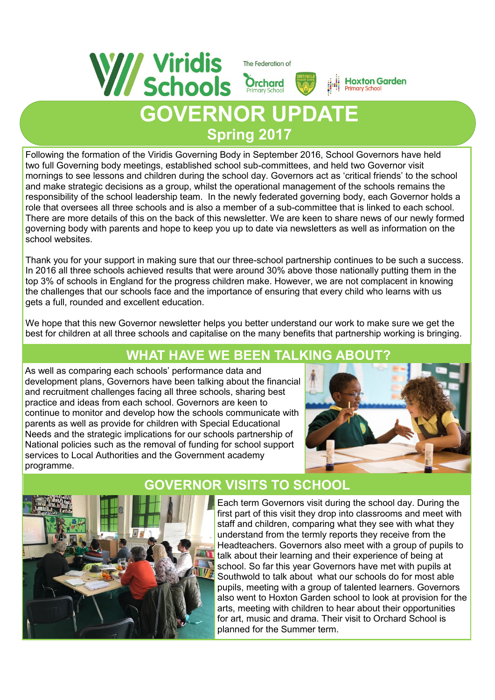

Following the formation of the Viridis Governing Body in September 2016, School Governors have held two full Governing body meetings, established school sub-committees, and held two Governor visit mornings to see lessons and children during the school day. Governors act as 'critical friends' to the school and make strategic decisions as a group, whilst the operational management of the schools remains the responsibility of the school leadership team. In the newly federated governing body, each Governor holds a role that oversees all three schools and is also a member of a sub-committee that is linked to each school. There are more details of this on the back of this newsletter. We are keen to share news of our newly formed governing body with parents and hope to keep you up to date via newsletters as well as information on the school websites.

**Spring 2017**

Thank you for your support in making sure that our three-school partnership continues to be such a success. In 2016 all three schools achieved results that were around 30% above those nationally putting them in the top 3% of schools in England for the progress children make. However, we are not complacent in knowing the challenges that our schools face and the importance of ensuring that every child who learns with us gets a full, rounded and excellent education.

We hope that this new Governor newsletter helps you better understand our work to make sure we get the best for children at all three schools and capitalise on the many benefits that partnership working is bringing.

## **WHAT HAVE WE BEEN TALKING ABOUT?**

As well as comparing each schools' performance data and development plans, Governors have been talking about the financial and recruitment challenges facing all three schools, sharing best practice and ideas from each school. Governors are keen to continue to monitor and develop how the schools communicate with parents as well as provide for children with Special Educational Needs and the strategic implications for our schools partnership of National policies such as the removal of funding for school support services to Local Authorities and the Government academy programme.





### **GOVERNOR VISITS TO SCHOOL**

Each term Governors visit during the school day. During the first part of this visit they drop into classrooms and meet with staff and children, comparing what they see with what they understand from the termly reports they receive from the Headteachers. Governors also meet with a group of pupils to talk about their learning and their experience of being at school. So far this year Governors have met with pupils at Southwold to talk about what our schools do for most able pupils, meeting with a group of talented learners. Governors also went to Hoxton Garden school to look at provision for the arts, meeting with children to hear about their opportunities for art, music and drama. Their visit to Orchard School is planned for the Summer term.